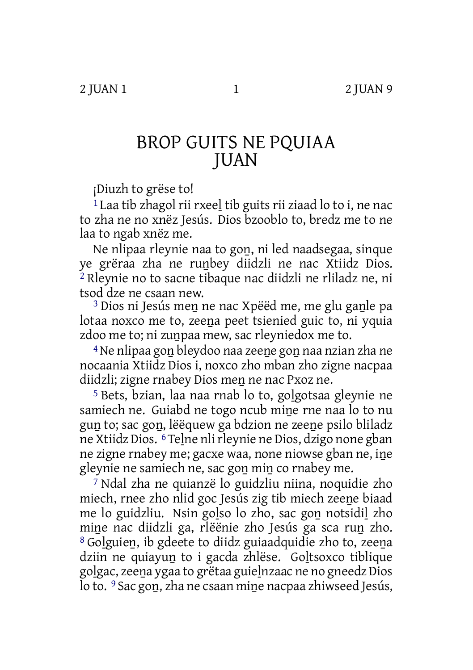## BROP GUITS NE PQUIAA JUAN

¡Diuzh to grëse to!

<sup>1</sup> Laa tib zhagol rii rxeel tib guits rii ziaad lo to i, ne nac to zha ne no xnëz Jesús. Dios bzooblo to, bredz me to ne laa to ngab xnëz me.

Ne nlipaa rleynie naa to goṉ, ni led naadsegaa, sinque ye grëraa zha ne ruṉbey diidzli ne nac Xtiidz Dios. 2 Rleynie no to sacne tibaque nac diidzli ne rliladz ne, ni tsod dze ne csaan new.

<sup>3</sup> Dios ni Jesús men ne nac Xpëëd me, me glu ganle pa lotaa noxco me to, zeena peet tsienied guic to, ni yquia zdoo me to; ni zunpaa mew, sac rleyniedox me to.

4Ne nlipaa goṉ bleydoo naa zeeṉe goṉ naa nzian zha ne nocaania Xtiidz Dios i, noxco zho mban zho zigne nacpaa diidzli; zigne rnabey Dios meṉ ne nac Pxoz ne.

5 Bets, bzian, laa naa rnab lo to, goḻgotsaa gleynie ne samiech ne. Guiabd ne togo ncub mine rne naa lo to nu gun to; sac gon, lëëquew ga bdzion ne zeene psilo bliladz ne Xtiidz Dios. 6Teḻne nlirleynie ne Dios, dzigo none gban ne zigne rnabey me; gacxe waa, none niowse gban ne, iṉe gleynie ne samiech ne, sac goṉ miṉ co rnabey me.

7 Ndal zha ne quianzë lo guidzliu niina, noquidie zho miech, rnee zho nlid goc Jesús zig tib miech zeeṉe biaad me lo guidzliu. Nsin golso lo zho, sac gon notsidil zho mine nac diidzli ga, rlëënie zho Jesús ga sca run zho. 8 Goḻguieṉ, ib gdeete to diidz guiaadquidie zho to, zeeṉa dziin ne quiayun to i gacda zhlëse. Goltsoxco tiblique goḻgac, zeeṉa ygaa to grëtaa guieḻnzaac ne no gneedz Dios lo to. 9 Sac gon, zha ne csaan mine nacpaa zhiwseed Jesús,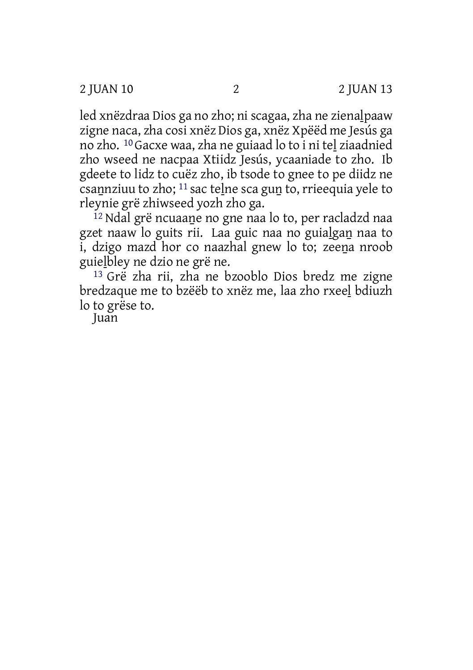2 JUAN 10 2 2 JUAN 13

led xnëzdraa Dios ga no zho; ni scagaa, zha ne zienalpaaw zigne naca, zha cosi xnëz Dios ga, xnëz Xpëëd me Jesús ga no zho. 10 Gacxe waa, zha ne guiaad lo to i ni teḻ ziaadnied zho wseed ne nacpaa Xtiidz Jesús, ycaaniade to zho. Ib gdeete to lidz to cuëz zho, ib tsode to gnee to pe diidz ne csaṉnziuu to zho; 11 sac teḻne sca guṉ to, rrieequia yele to rleynie grë zhiwseed yozh zho ga.

<sup>12</sup> Ndal grë ncuaane no gne naa lo to, per racladzd naa gzet naaw lo guits rii. Laa guic naa no guiaḻgaṉ naa to i, dzigo mazd hor co naazhal gnew lo to; zeena nroob guieḻbley ne dzio ne grë ne.

13 Grë zha rii, zha ne bzooblo Dios bredz me zigne bredzaque me to bzëëb to xnëz me, laa zho rxeeḻ bdiuzh lo to grëse to.

Juan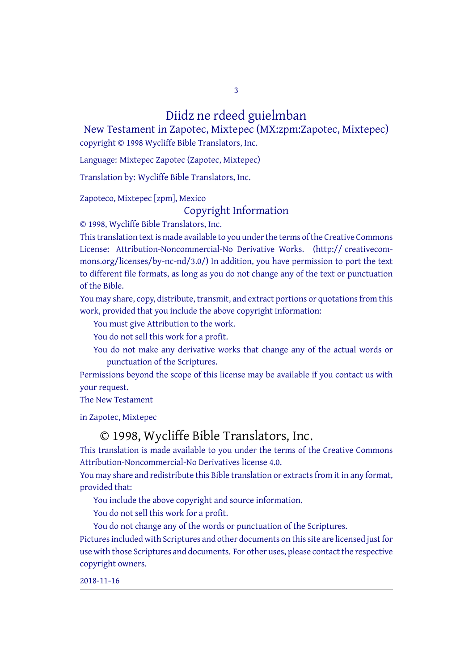Diidz ne rdeed guielmban

3

New Testament in Zapotec, Mixtepec (MX:zpm:Zapotec, Mixtepec) copyright © 1998 Wycliffe Bible Translators, Inc.

Language: Mixtepec Zapotec (Zapotec, Mixtepec)

Translation by: Wycliffe Bible Translators, Inc.

Zapoteco, Mixtepec [zpm], Mexico

## Copyright Information

© 1998, Wycliffe Bible Translators, Inc.

This translation text is made available to you under the terms of the Creative [Commons](http://creativecommons.org/licenses/by-nc-nd/4.0/) License: Attribution-Noncommercial-No Derivative Works. (http:// creativecommons.org/licenses/by-nc-nd/3.0/) In addition, you have permission to port the text to different file formats, as long as you do not change any of the text or punctuation of the Bible.

You may share, copy, distribute, transmit, and extract portions or quotations from this work, provided that you include the above copyright information:

You must give Attribution to the work.

You do not sell this work for a profit.

You do not make any derivative works that change any of the actual words or punctuation of the Scriptures.

Permissions beyond the scope of this license may be available if you contact us with your request.

The New Testament

in Zapotec, Mixtepec

## © 1998, Wycliffe Bible Translators, Inc.

This translation is made available to you under the terms of the Creative Commons Attribution-Noncommercial-No Derivatives license 4.0.

You may share and redistribute this Bible translation or extracts from it in any format, provided that:

You include the above copyright and source information.

You do not sell this work for a profit.

You do not change any of the words or punctuation of the Scriptures.

Pictures included with Scriptures and other documents on this site are licensed just for use with those Scriptures and documents. For other uses, please contact the respective copyright owners.

2018-11-16